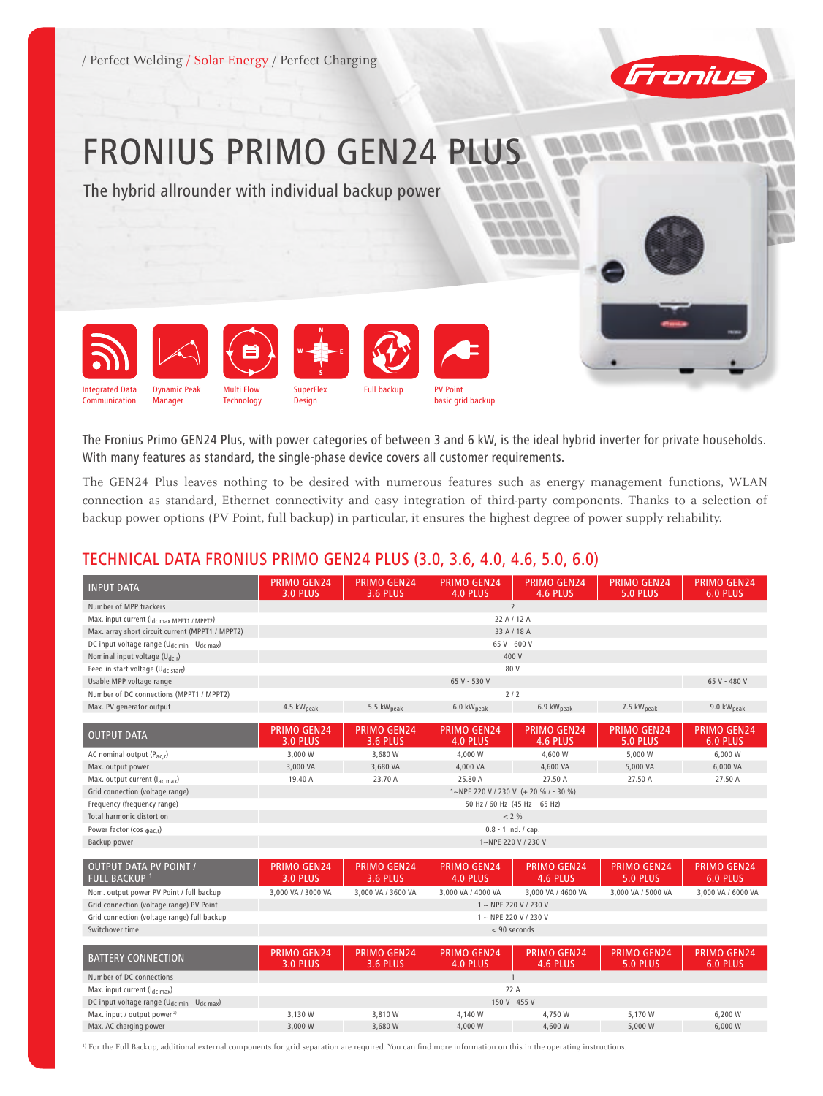

## FRONIUS PRIMO GEN24 PLUS

The hybrid allrounder with individual backup power



The Fronius Primo GEN24 Plus, with power categories of between 3 and 6 kW, is the ideal hybrid inverter for private households. With many features as standard, the single-phase device covers all customer requirements.

The GEN24 Plus leaves nothing to be desired with numerous features such as energy management functions, WLAN connection as standard, Ethernet connectivity and easy integration of third-party components. Thanks to a selection of backup power options (PV Point, full backup) in particular, it ensures the highest degree of power supply reliability.

## TECHNICAL DATA FRONIUS PRIMO GEN24 PLUS (3.0, 3.6, 4.0, 4.6, 5.0, 6.0)

| <b>INPUT DATA</b>                                                   | <b>PRIMO GEN24</b><br>3.0 PLUS        | <b>PRIMO GEN24</b><br><b>3.6 PLUS</b> | <b>PRIMO GEN24</b><br>4.0 PLUS | <b>PRIMO GEN24</b><br>4.6 PLUS | <b>PRIMO GEN24</b><br><b>5.0 PLUS</b> | <b>PRIMO GEN24</b><br>6.0 PLUS |  |
|---------------------------------------------------------------------|---------------------------------------|---------------------------------------|--------------------------------|--------------------------------|---------------------------------------|--------------------------------|--|
| Number of MPP trackers                                              |                                       |                                       |                                | $\overline{2}$                 |                                       |                                |  |
| Max. input current $(l_{dc \, max \, MPPT1 / MPPT2})$               | 22 A / 12 A                           |                                       |                                |                                |                                       |                                |  |
| Max. array short circuit current (MPPT1 / MPPT2)                    |                                       |                                       |                                | 33 A / 18 A                    |                                       |                                |  |
| DC input voltage range (U <sub>dc min</sub> - U <sub>dc max</sub> ) |                                       |                                       |                                | 65 V - 600 V                   |                                       |                                |  |
| Nominal input voltage $(U_{dc,r})$                                  |                                       |                                       |                                | 400 V                          |                                       |                                |  |
| Feed-in start voltage (U <sub>dc start</sub> )                      |                                       |                                       |                                | 80 V                           |                                       |                                |  |
| Usable MPP voltage range                                            |                                       |                                       | 65 V - 530 V                   |                                |                                       | 65 V - 480 V                   |  |
| Number of DC connections (MPPT1 / MPPT2)                            |                                       |                                       |                                | 2/2                            |                                       |                                |  |
| Max. PV generator output                                            | 4.5 kW <sub>peak</sub>                | 5.5 kW <sub>peak</sub>                | 6.0 kW <sub>peak</sub>         | 6.9 kW <sub>peak</sub>         | 7.5 kW <sub>peak</sub>                | 9.0 kW <sub>peak</sub>         |  |
|                                                                     |                                       |                                       |                                |                                |                                       |                                |  |
| <b>OUTPUT DATA</b>                                                  | <b>PRIMO GEN24</b><br><b>3.0 PLUS</b> | <b>PRIMO GEN24</b><br><b>3.6 PLUS</b> | <b>PRIMO GEN24</b><br>4.0 PLUS | <b>PRIMO GEN24</b><br>4.6 PLUS | <b>PRIMO GEN24</b><br><b>5.0 PLUS</b> | <b>PRIMO GEN24</b><br>6.0 PLUS |  |
| AC nominal output $(P_{ac,r})$                                      | 3,000 W                               | 3,680 W                               | 4,000 W                        | 4,600 W                        | 5,000 W                               | 6,000 W                        |  |
| Max. output power                                                   | 3,000 VA                              | 3,680 VA                              | 4,000 VA                       | 4,600 VA                       | 5,000 VA                              | 6,000 VA                       |  |
| Max. output current (I <sub>ac max</sub> )                          | 19.40 A                               | 23.70 A                               | 25.80 A                        | 27.50 A                        | 27.50 A                               | 27.50 A                        |  |
| Grid connection (voltage range)                                     | 1~NPE 220 V / 230 V (+ 20 % / - 30 %) |                                       |                                |                                |                                       |                                |  |
| Frequency (frequency range)                                         | 50 Hz / 60 Hz (45 Hz - 65 Hz)         |                                       |                                |                                |                                       |                                |  |
| <b>Total harmonic distortion</b>                                    | < 2 %                                 |                                       |                                |                                |                                       |                                |  |
| Power factor (cos $_{\phi ac,r}$ )                                  | $0.8 - 1$ ind. / cap.                 |                                       |                                |                                |                                       |                                |  |
| Backup power                                                        | 1~NPE 220 V / 230 V                   |                                       |                                |                                |                                       |                                |  |
|                                                                     |                                       |                                       |                                |                                |                                       |                                |  |
| <b>OUTPUT DATA PV POINT /</b><br><b>FULL BACKUP 1</b>               | <b>PRIMO GEN24</b><br><b>3.0 PLUS</b> | <b>PRIMO GEN24</b><br><b>3.6 PLUS</b> | <b>PRIMO GEN24</b><br>4.0 PLUS | <b>PRIMO GEN24</b><br>4.6 PLUS | <b>PRIMO GEN24</b><br><b>5.0 PLUS</b> | <b>PRIMO GEN24</b><br>6.0 PLUS |  |
| Nom. output power PV Point / full backup                            | 3,000 VA / 3000 VA                    | 3,000 VA / 3600 VA                    | 3,000 VA / 4000 VA             | 3,000 VA / 4600 VA             | 3,000 VA / 5000 VA                    | 3,000 VA / 6000 VA             |  |
| Grid connection (voltage range) PV Point                            |                                       |                                       |                                | $1 \sim$ NPE 220 V / 230 V     |                                       |                                |  |
| Grid connection (voltage range) full backup                         | $1 \sim$ NPE 220 V / 230 V            |                                       |                                |                                |                                       |                                |  |
| Switchover time                                                     | < 90 seconds                          |                                       |                                |                                |                                       |                                |  |
|                                                                     |                                       |                                       |                                |                                |                                       |                                |  |
| <b>BATTERY CONNECTION</b>                                           | <b>PRIMO GEN24</b><br><b>3.0 PLUS</b> | <b>PRIMO GEN24</b><br><b>3.6 PLUS</b> | <b>PRIMO GEN24</b><br>4.0 PLUS | <b>PRIMO GEN24</b><br>4.6 PLUS | <b>PRIMO GEN24</b><br>5.0 PLUS        | <b>PRIMO GEN24</b><br>6.0 PLUS |  |
| Number of DC connections                                            | $\mathbf{1}$                          |                                       |                                |                                |                                       |                                |  |
| Max. input current $(l_{dc\ max})$                                  | 22 A                                  |                                       |                                |                                |                                       |                                |  |
| DC input voltage range (U <sub>dc min</sub> - U <sub>dc max</sub> ) | 150 V - 455 V                         |                                       |                                |                                |                                       |                                |  |
| Max. input / output power <sup>2)</sup>                             | 3,130 W                               | 3,810 W                               | 4,140 W                        | 4,750 W                        | 5,170 W                               | 6,200 W                        |  |
| Max. AC charging power                                              | 3,000 W                               | 3,680 W                               | 4,000 W                        | 4,600 W                        | 5,000 W                               | 6,000 W                        |  |

<sup>1)</sup> For the Full Backup, additional external components for grid separation are required. You can find more information on this in the operating instructions.